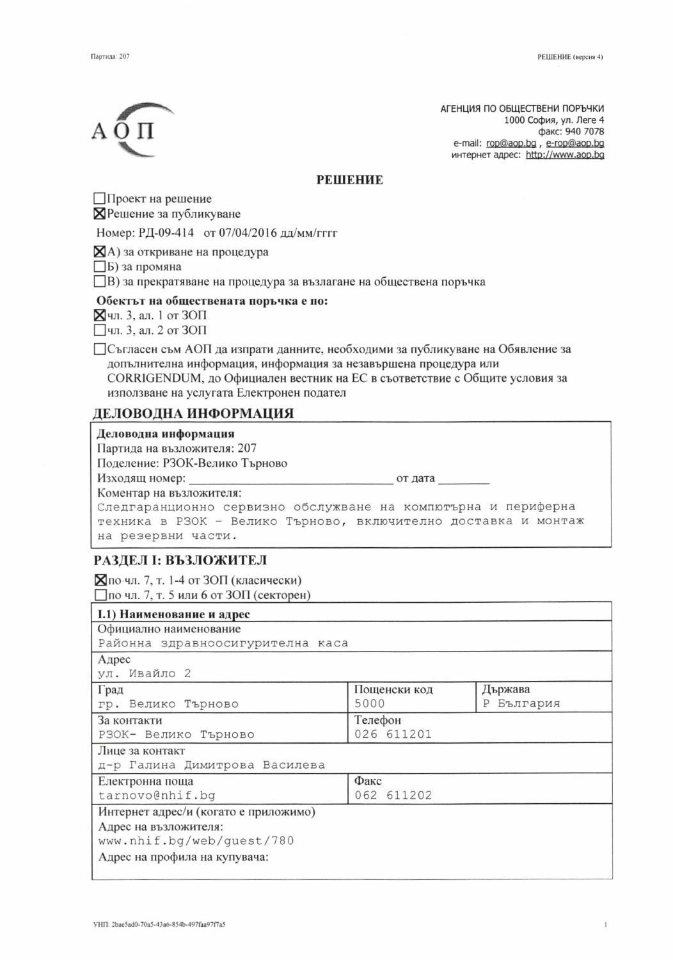АГЕНЦИЯ ПО ОБЩЕСТВЕНИ ПОРЪЧКИ 1000 София, ул. Леге 4 факс: 940 7078 e-mail: rop@aop.bg, e-rop@aop.bg интернет адрес: http://www.aop.bg

#### **РЕШЕНИЕ**

Проект на решение **X** Решение за публикуване

Номер: РД-09-414 от 07/04/2016 дд/мм/гггг

 $\mathbf{Z}$ А) за откриване на процедура

Б) за промяна

□ В) за прекратяване на процедура за възлагане на обществена поръчка

#### Обектът на обществената поръчка е по:

⊠чл. 3, ал. 1 от ЗОП

 $\Box$ чл. 3, ал. 2 от ЗОП

ПСъгласен съм АОП да изпрати данните, необходими за публикуване на Обявление за допълнителна информация, информация за незавършена процедура или CORRIGENDUM, до Официален вестник на ЕС в съответствие с Общите условия за използване на услугата Електронен подател

# ДЕЛОВОДНА ИНФОРМАЦИЯ

| Деловодна информация                                           |
|----------------------------------------------------------------|
| Партида на възложителя: 207                                    |
| Поделение: РЗОК-Велико Търново                                 |
| от дата                                                        |
| Коментар на възложителя:                                       |
| Следгаранционно сервизно обслужване на компютърна и периферна  |
| техника в РЗОК - Велико Търново, включително доставка и монтаж |
| на резервни части.                                             |

# РАЗДЕЛ І: ВЪЗЛОЖИТЕЛ

 $\Xi$ по чл. 7, т. 1-4 от ЗОП (класически)  $\Box$ по чл. 7, т. 5 или 6 от ЗОП (секторен)

| <b>I.1) Наименование и адрес</b>      |              |            |  |
|---------------------------------------|--------------|------------|--|
| Официално наименование                |              |            |  |
| Районна здравноосигурителна каса      |              |            |  |
| Адрес                                 |              |            |  |
| ул. Ивайло 2                          |              |            |  |
| Град                                  | Пощенски код | Държава    |  |
| гр. Велико Търново                    | 5000         | Р България |  |
| За контакти                           | Телефон      |            |  |
| РЗОК- Велико Търново                  | 026 611201   |            |  |
| Лице за контакт                       |              |            |  |
| д-р Галина Димитрова Василева         |              |            |  |
| Електронна поща                       | Факс         |            |  |
| tarnovo@nhif.bq                       | 062 611202   |            |  |
| Интернет адрес/и (когато е приложимо) |              |            |  |
| Адрес на възложителя:                 |              |            |  |
| www.nhif.bg/web/guest/780             |              |            |  |
| Адрес на профила на купувача:         |              |            |  |
|                                       |              |            |  |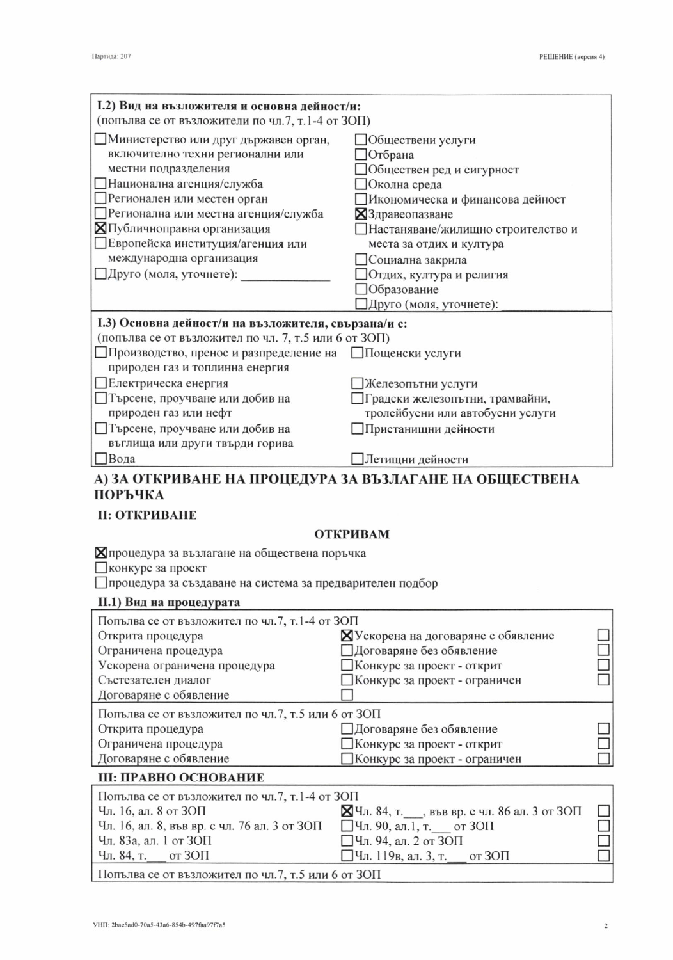| I.2) Вид на възложителя и основна дейност/и:            |                                    |  |
|---------------------------------------------------------|------------------------------------|--|
| (попълва се от възложители по чл.7, т.1-4 от ЗОП)       |                                    |  |
| Министерство или друг държавен орган,                   | Обществени услуги                  |  |
| включително техни регионални или                        | Отбрана                            |  |
| местни подразделения                                    | Обществен ред и сигурност          |  |
| Национална агенция/служба                               | Околна среда                       |  |
| □ Регионален или местен орган                           | Икономическа и финансова дейност   |  |
| Регионална или местна агенция/служба                    | ХЗдравеопазване                    |  |
| <b>X</b> Публичноправна организация                     | Настаняване/жилищно строителство и |  |
| Европейска институция/агенция или                       | места за отдих и култура           |  |
| международна организация                                | ]Социална закрила                  |  |
| □Друго (моля, уточнете):                                | Отдих, култура и религия           |  |
|                                                         | Образование                        |  |
|                                                         | Друго (моля, уточнете):            |  |
| I.3) Основна дейност/и на възложителя, свързана/и с:    |                                    |  |
| (попълва се от възложител по чл. 7, т.5 или 6 от ЗОП)   |                                    |  |
| Производство, пренос и разпределение на Пощенски услуги |                                    |  |
| природен газ и топлинна енергия                         |                                    |  |
| Електрическа енергия                                    | ]Железопътни услуги                |  |
| Пърсене, проучване или добив на                         | ∏градски железопътни, трамвайни,   |  |
| природен газ или нефт                                   | тролейбусни или автобусни услуги   |  |
| Пърсене, проучване или добив на                         | ]Пристанищни дейности              |  |
| въглища или други твърди горива                         |                                    |  |
| <b>⊡</b> Вода                                           | ]Летищни дейности                  |  |
| А) ЗА ОТКРИВАНЕ НА ПРОЦЕДУРА ЗА ВЪЗЛАГАНЕ НА ОБЩЕСТВЕНА |                                    |  |

# ПОРЪЧКА

# **II: ОТКРИВАНЕ**

### **ОТКРИВАМ**

| ⊠процедура за възлагане на обществена поръчка |  |
|-----------------------------------------------|--|
|-----------------------------------------------|--|

Пконкурс за проект

□ процедура за създаване на система за предварителен подбор

#### II.1) Вид на процедурата

| Попълва се от възложител по чл.7, т.1-4 от ЗОП     |                                             |  |
|----------------------------------------------------|---------------------------------------------|--|
| Открита процедура                                  | ХУскорена на договаряне с обявление         |  |
| Ограничена процедура                               | Договаряне без обявление                    |  |
| Ускорена ограничена процедура                      | ⊿Конкурс за проект - открит                 |  |
| Състезателен диалог                                | Конкурс за проект - ограничен               |  |
| Договаряне с обявление                             |                                             |  |
| Попълва се от възложител по чл.7, т.5 или 6 от ЗОП |                                             |  |
| Открита процедура                                  | □ Договаряне без обявление                  |  |
| Ограничена процедура                               | Конкурс за проект - открит                  |  |
| Договаряне с обявление                             | Конкурс за проект - ограничен               |  |
| <b>III: ПРАВНО ОСНОВАНИЕ</b>                       |                                             |  |
| Попълва се от възложител по чл.7, т.1-4 от ЗОП     |                                             |  |
| Чл. 16, ал. 8 от ЗОП                               | ⊠Чл. 84, т. , във вр. с чл. 86 ал. 3 от ЗОП |  |
| Чл. 16, ал. 8, във вр. с чл. 76 ал. 3 от ЗОП       | □Чл. 90, ал.1, т. __ от ЗОП                 |  |
| Чл. 83а, ал. 1 от ЗОП                              | $\Box$ Чл. 94, ал. 2 от ЗОП                 |  |
| Чл. 84, т. от $3$ ОП                               | $\Box$ Чл. 119в, ал. 3, т. от ЗОП           |  |

| $4\pi$ , 84, т. от ЗОП | □Чл. 119в, ал. 3, т. |
|------------------------|----------------------|
|                        |                      |